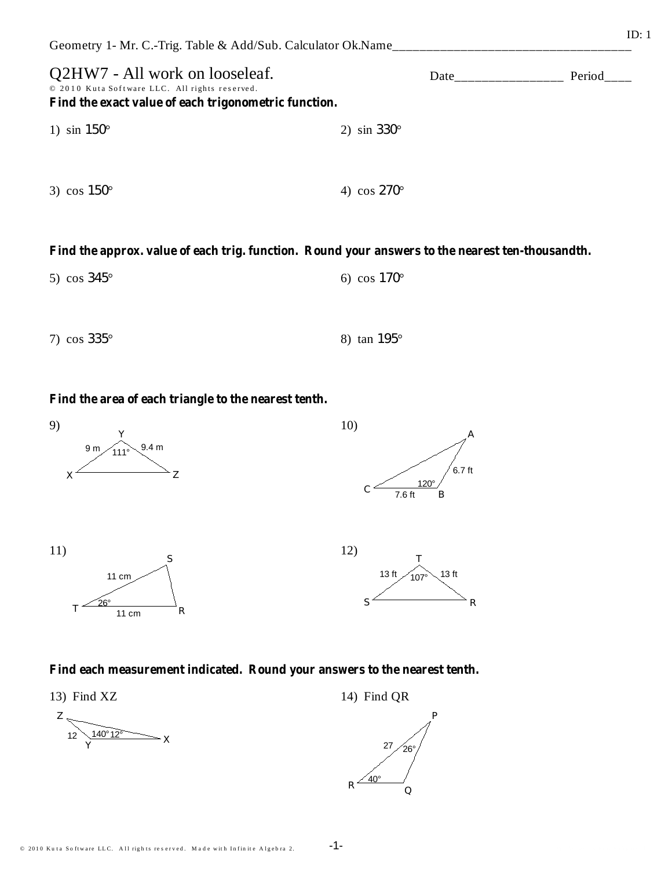| Geometry 1- Mr. C.-Trig. Table & Add/Sub. Calculator Ok.Name_____________________                                                        |                     | ID: 1 |
|------------------------------------------------------------------------------------------------------------------------------------------|---------------------|-------|
| Q2HW7 - All work on looseleaf.<br>© 2010 Kuta Software LLC. All rights reserved.<br>Find the exact value of each trigonometric function. | Period____          |       |
| 1) $\sin 150^\circ$                                                                                                                      | 2) $\sin 330^\circ$ |       |
| 3) cos $150^\circ$                                                                                                                       | 4) cos $270^\circ$  |       |

## Find the approx. value of each trig. function. Round your answers to the nearest ten-thousandth.

5)  $\cos 345^\circ$ 6) cos  $170^\circ$ 

7)  $\cos 335^\circ$ 

8) tan 195°

Find the area of each triangle to the nearest tenth.



## Find each measurement indicated. Round your answers to the nearest tenth.

13) Find XZ

 $12$  $140^{\circ}12^{\circ}$  $\overline{X}$ 

14) Find QR

 $\begin{pmatrix} 27 & 26 \\ 7 & 26 \end{pmatrix}$  $\overline{R}$